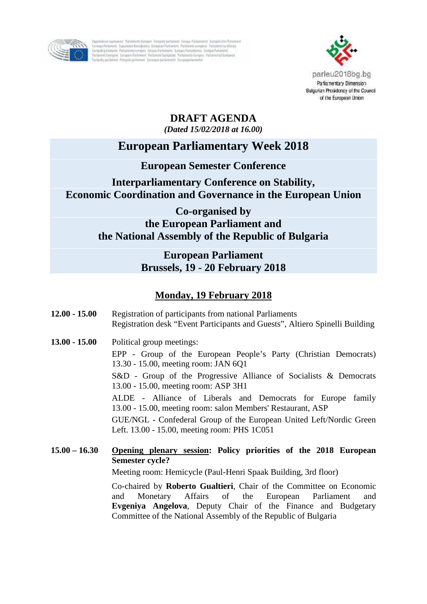

Taperekimingutowai Polamieta Sungia Tengati parlament tampa Polaminist Tampaintes Parlament<br>Torongo Palament (spionalis favorfacilio Tampesi Pallament Pallement ecospére Parlament in Marine<br>Lampaintarium Palament Palement



## **DRAFT AGENDA** *(Dated 15/02/2018 at 16.00)*

# **European Parliamentary Week 2018**

## **European Semester Conference**

## **Interparliamentary Conference on Stability, Economic Coordination and Governance in the European Union**

**Co-organised by the European Parliament and the National Assembly of the Republic of Bulgaria**

## **European Parliament Brussels, 19 - 20 February 2018**

## **Monday, 19 February 2018**

- **12.00 - 15.00** Registration of participants from national Parliaments Registration desk "Event Participants and Guests", Altiero Spinelli Building
- **13.00 - 15.00** Political group meetings:

EPP - Group of the European People's Party (Christian Democrats) 13.30 - 15.00, meeting room: JAN 6Q1

S&D - Group of the Progressive Alliance of Socialists & Democrats 13.00 - 15.00, meeting room: ASP 3H1

ALDE - Alliance of Liberals and Democrats for Europe family 13.00 - 15.00, meeting room: salon Members' Restaurant, ASP

GUE/NGL - Confederal Group of the European United Left/Nordic Green Left. 13.00 - 15.00, meeting room: PHS 1C051

**15.00 – 16.30 Opening plenary session: Policy priorities of the 2018 European Semester cycle?**

Meeting room: Hemicycle (Paul-Henri Spaak Building, 3rd floor)

Co-chaired by **Roberto Gualtieri**, Chair of the Committee on Economic and Monetary Affairs of the European Parliament and **Evgeniya Angelova**, Deputy Chair of the Finance and Budgetary Committee of the National Assembly of the Republic of Bulgaria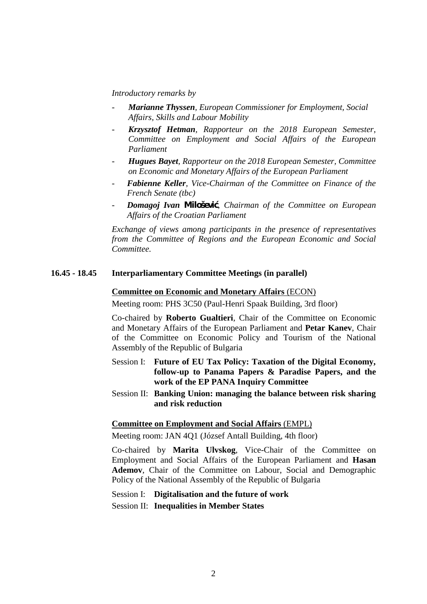#### *Introductory remarks by*

- *- Marianne Thyssen, European Commissioner for Employment, Social Affairs, Skills and Labour Mobility*
- *- Krzysztof Hetman, Rapporteur on the 2018 European Semester*, *Committee on Employment and Social Affairs of the European Parliament*
- *- Hugues Bayet, Rapporteur on the 2018 European Semester, Committee on Economic and Monetary Affairs of the European Parliament*
- *- Fabienne Keller, Vice-Chairman of the Committee on Finance of the French Senate (tbc)*
- *- Domagoj Ivan Milošević, Chairman of the Committee on European Affairs of the Croatian Parliament*

*Exchange of views among participants in the presence of representatives from the Committee of Regions and the European Economic and Social Committee.*

#### **16.45 - 18.45 Interparliamentary Committee Meetings (in parallel)**

#### **Committee on Economic and Monetary Affairs** (ECON)

Meeting room: PHS 3C50 (Paul-Henri Spaak Building, 3rd floor)

Co-chaired by **Roberto Gualtieri**, Chair of the Committee on Economic and Monetary Affairs of the European Parliament and **Petar Kanev**, Chair of the Committee on Economic Policy and Tourism of the National Assembly of the Republic of Bulgaria

- Session I: **Future of EU Tax Policy: Taxation of the Digital Economy, follow-up to Panama Papers & Paradise Papers, and the work of the EP PANA Inquiry Committee**
- Session II: **Banking Union: managing the balance between risk sharing and risk reduction**

#### **Committee on Employment and Social Affairs** (EMPL)

Meeting room: JAN 4Q1 (József Antall Building, 4th floor)

Co-chaired by **Marita Ulvskog**, Vice-Chair of the Committee on Employment and Social Affairs of the European Parliament and **Hasan Ademov**, Chair of the Committee on Labour, Social and Demographic Policy of the National Assembly of the Republic of Bulgaria

Session I: **Digitalisation and the future of work**

Session II: **Inequalities in Member States**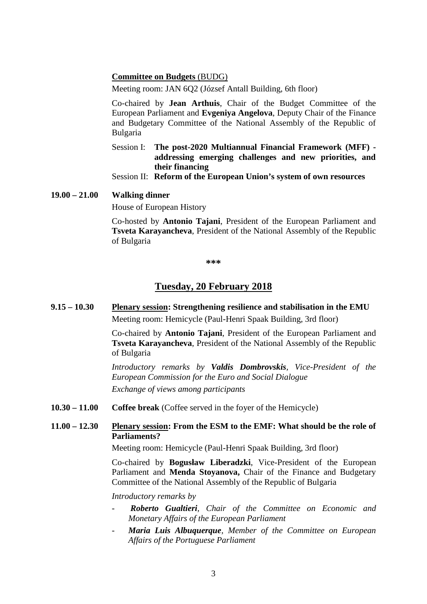#### **Committee on Budgets** (BUDG)

Meeting room: JAN 6Q2 (József Antall Building, 6th floor)

Co-chaired by **Jean Arthuis**, Chair of the Budget Committee of the European Parliament and **Evgeniya Angelova**, Deputy Chair of the Finance and Budgetary Committee of the National Assembly of the Republic of Bulgaria

Session I: **The post-2020 Multiannual Financial Framework (MFF) addressing emerging challenges and new priorities, and their financing**

Session II: **Reform of the European Union's system of own resources**

#### **19.00 – 21.00 Walking dinner**

House of European History

Co-hosted by **Antonio Tajani**, President of the European Parliament and **Tsveta Karayancheva**, President of the National Assembly of the Republic of Bulgaria

**\*\*\***

### **Tuesday, 20 February 2018**

**9.15 – 10.30 Plenary session: Strengthening resilience and stabilisation in the EMU** Meeting room: Hemicycle (Paul-Henri Spaak Building, 3rd floor)

> Co-chaired by **Antonio Tajani**, President of the European Parliament and **Tsveta Karayancheva**, President of the National Assembly of the Republic of Bulgaria

> *Introductory remarks by Valdis Dombrovskis, Vice-President of the European Commission for the Euro and Social Dialogue Exchange of views among participants*

**10.30 – 11.00 Coffee break** (Coffee served in the foyer of the Hemicycle)

### **11.00 – 12.30 Plenary session: From the ESM to the EMF: What should be the role of Parliaments?**

Meeting room: Hemicycle (Paul-Henri Spaak Building, 3rd floor)

Co-chaired by **Bogusław Liberadzki**, Vice-President of the European Parliament and **Menda Stoyanova,** Chair of the Finance and Budgetary Committee of the National Assembly of the Republic of Bulgaria

*Introductory remarks by*

- *- Roberto Gualtieri, Chair of the Committee on Economic and Monetary Affairs of the European Parliament*
- *- Maria Luis Albuquerque, Member of the Committee on European Affairs of the Portuguese Parliament*